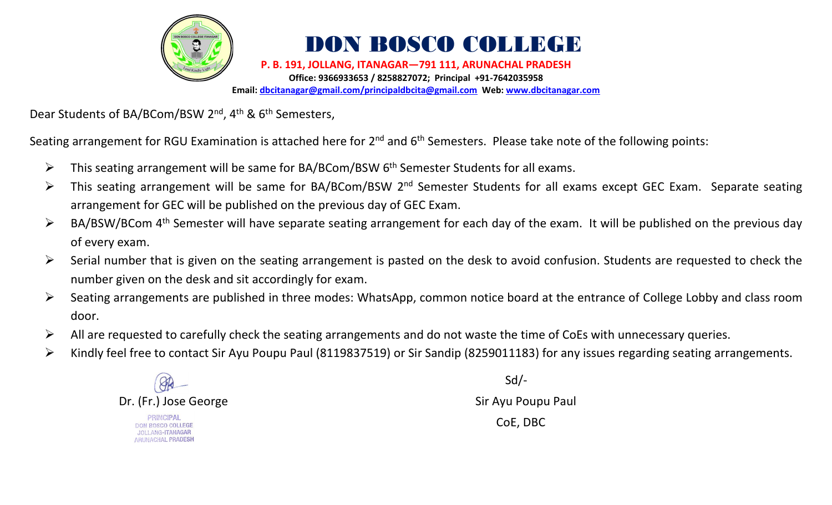

## DON BOSCO COLLEGE

**P. B. 191, JOLLANG, ITANAGAR—791 111, ARUNACHAL PRADESH Office: 9366933653 / 8258827072; Principal +91-7642035958 Email: [dbcitanagar@gmail.com/principaldbcita@gmail.com](mailto:dbcitanagar@gmail.com/principaldbcita@gmail.com) Web: [www.dbcitanagar.com](http://www.dbcitanagar.com/)**

Dear Students of BA/BCom/BSW 2<sup>nd</sup>, 4<sup>th</sup> & 6<sup>th</sup> Semesters,

Seating arrangement for RGU Examination is attached here for 2<sup>nd</sup> and 6<sup>th</sup> Semesters. Please take note of the following points:

- ➢ This seating arrangement will be same for BA/BCom/BSW 6 th Semester Students for all exams.
- > This seating arrangement will be same for BA/BCom/BSW 2<sup>nd</sup> Semester Students for all exams except GEC Exam. Separate seating arrangement for GEC will be published on the previous day of GEC Exam.
- > BA/BSW/BCom 4<sup>th</sup> Semester will have separate seating arrangement for each day of the exam. It will be published on the previous day of every exam.
- $\triangleright$  Serial number that is given on the seating arrangement is pasted on the desk to avoid confusion. Students are requested to check the number given on the desk and sit accordingly for exam.
- ➢ Seating arrangements are published in three modes: WhatsApp, common notice board at the entrance of College Lobby and class room door.
- $\triangleright$  All are requested to carefully check the seating arrangements and do not waste the time of CoEs with unnecessary queries.
- ➢ Kindly feel free to contact Sir Ayu Poupu Paul (8119837519) or Sir Sandip (8259011183) for any issues regarding seating arrangements.



Sd/-

CoE, DBC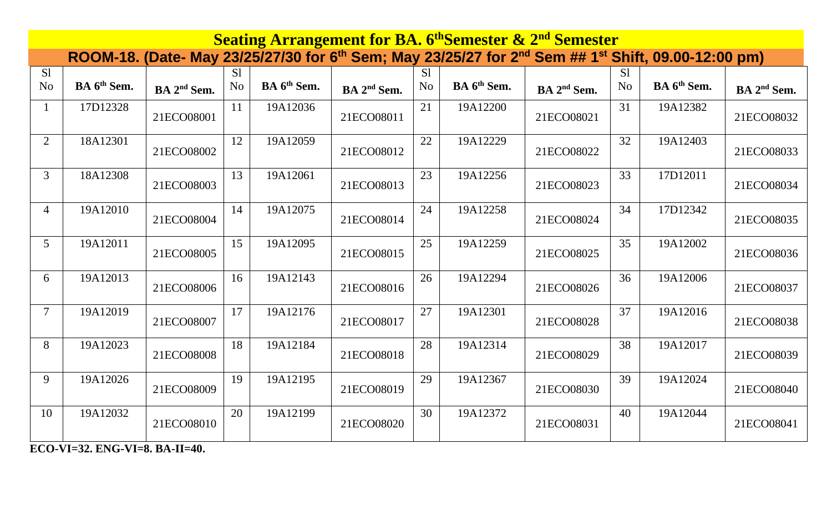| <b>Seating Arrangement for BA. 6th Semester &amp; 2nd Semester</b> |                         |                         |                |                         |                         |                |                         |                                                                                                                                         |                |                         |                         |  |  |
|--------------------------------------------------------------------|-------------------------|-------------------------|----------------|-------------------------|-------------------------|----------------|-------------------------|-----------------------------------------------------------------------------------------------------------------------------------------|----------------|-------------------------|-------------------------|--|--|
|                                                                    |                         |                         |                |                         |                         |                |                         | ROOM-18. (Date- May 23/25/27/30 for 6 <sup>th</sup> Sem; May 23/25/27 for 2 <sup>nd</sup> Sem ## 1 <sup>st</sup> Shift, 09.00-12:00 pm) |                |                         |                         |  |  |
| S1                                                                 |                         |                         | S <sub>1</sub> |                         |                         | S1             |                         |                                                                                                                                         | S <sub>1</sub> |                         |                         |  |  |
| N <sub>o</sub>                                                     | BA 6 <sup>th</sup> Sem. | BA 2 <sup>nd</sup> Sem. | N <sub>o</sub> | BA 6 <sup>th</sup> Sem. | BA 2 <sup>nd</sup> Sem. | N <sub>o</sub> | BA 6 <sup>th</sup> Sem. | BA 2 <sup>nd</sup> Sem.                                                                                                                 | N <sub>o</sub> | BA 6 <sup>th</sup> Sem. | BA 2 <sup>nd</sup> Sem. |  |  |
|                                                                    | 17D12328                | 21ECO08001              | 11             | 19A12036                | 21ECO08011              | 21             | 19A12200                | 21ECO08021                                                                                                                              | 31             | 19A12382                | 21ECO08032              |  |  |
| $\overline{2}$                                                     | 18A12301                | 21ECO08002              | 12             | 19A12059                | 21ECO08012              | 22             | 19A12229                | 21ECO08022                                                                                                                              | 32             | 19A12403                | 21ECO08033              |  |  |
| $\mathfrak{Z}$                                                     | 18A12308                | 21ECO08003              | 13             | 19A12061                | 21ECO08013              | 23             | 19A12256                | 21ECO08023                                                                                                                              | 33             | 17D12011                | 21ECO08034              |  |  |
| $\overline{4}$                                                     | 19A12010                | 21ECO08004              | 14             | 19A12075                | 21ECO08014              | 24             | 19A12258                | 21ECO08024                                                                                                                              | 34             | 17D12342                | 21ECO08035              |  |  |
| 5                                                                  | 19A12011                | 21ECO08005              | 15             | 19A12095                | 21ECO08015              | 25             | 19A12259                | 21ECO08025                                                                                                                              | 35             | 19A12002                | 21ECO08036              |  |  |
| 6                                                                  | 19A12013                | 21ECO08006              | 16             | 19A12143                | 21ECO08016              | 26             | 19A12294                | 21ECO08026                                                                                                                              | 36             | 19A12006                | 21ECO08037              |  |  |
| $\overline{7}$                                                     | 19A12019                | 21ECO08007              | 17             | 19A12176                | 21ECO08017              | 27             | 19A12301                | 21ECO08028                                                                                                                              | 37             | 19A12016                | 21ECO08038              |  |  |
| 8                                                                  | 19A12023                | 21ECO08008              | 18             | 19A12184                | 21ECO08018              | 28             | 19A12314                | 21ECO08029                                                                                                                              | 38             | 19A12017                | 21ECO08039              |  |  |
| 9                                                                  | 19A12026                | 21ECO08009              | 19             | 19A12195                | 21ECO08019              | 29             | 19A12367                | 21ECO08030                                                                                                                              | 39             | 19A12024                | 21ECO08040              |  |  |
| 10                                                                 | 19A12032                | 21ECO08010              | 20             | 19A12199                | 21ECO08020              | 30             | 19A12372                | 21ECO08031                                                                                                                              | 40             | 19A12044                | 21ECO08041              |  |  |

**ECO-VI=32. ENG-VI=8. BA-II=40.**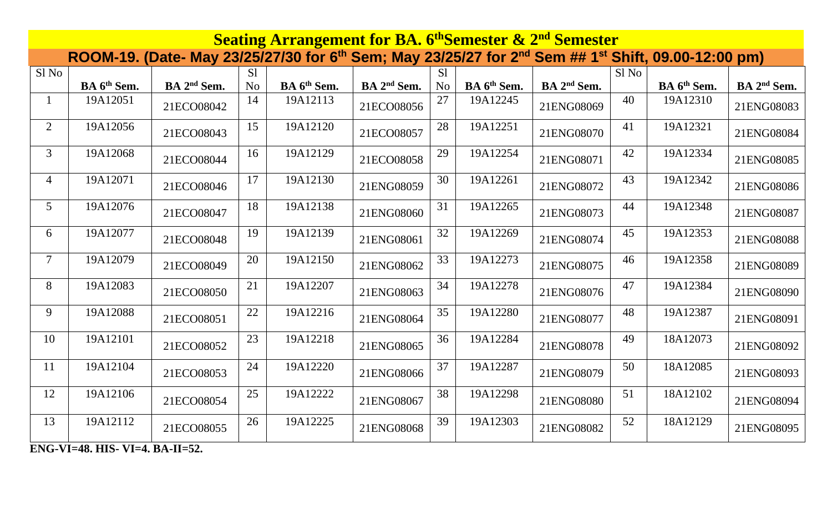|                 | <b>Seating Arrangement for BA. 6th Semester &amp; 2nd Semester</b> |                                                                                                                                         |                |                         |                         |                |                         |                         |       |                         |                         |  |  |
|-----------------|--------------------------------------------------------------------|-----------------------------------------------------------------------------------------------------------------------------------------|----------------|-------------------------|-------------------------|----------------|-------------------------|-------------------------|-------|-------------------------|-------------------------|--|--|
|                 |                                                                    | ROOM-19. (Date- May 23/25/27/30 for 6 <sup>th</sup> Sem; May 23/25/27 for 2 <sup>nd</sup> Sem ## 1 <sup>st</sup> Shift, 09.00-12:00 pm) |                |                         |                         |                |                         |                         |       |                         |                         |  |  |
| Sl No           |                                                                    |                                                                                                                                         | S1             |                         |                         | S1             |                         |                         | Sl No |                         |                         |  |  |
|                 | BA 6 <sup>th</sup> Sem.                                            | BA 2 <sup>nd</sup> Sem.                                                                                                                 | N <sub>o</sub> | BA 6 <sup>th</sup> Sem. | BA 2 <sup>nd</sup> Sem. | N <sub>o</sub> | BA 6 <sup>th</sup> Sem. | BA 2 <sup>nd</sup> Sem. |       | BA 6 <sup>th</sup> Sem. | BA 2 <sup>nd</sup> Sem. |  |  |
|                 | 19A12051                                                           | 21ECO08042                                                                                                                              | 14             | 19A12113                | 21ECO08056              | 27             | 19A12245                | 21ENG08069              | 40    | 19A12310                | 21ENG08083              |  |  |
| 2               | 19A12056                                                           | 21ECO08043                                                                                                                              | 15             | 19A12120                | 21ECO08057              | 28             | 19A12251                | 21ENG08070              | 41    | 19A12321                | 21ENG08084              |  |  |
| $\overline{3}$  | 19A12068                                                           | 21ECO08044                                                                                                                              | 16             | 19A12129                | 21ECO08058              | 29             | 19A12254                | 21ENG08071              | 42    | 19A12334                | 21ENG08085              |  |  |
| $\overline{4}$  | 19A12071                                                           | 21ECO08046                                                                                                                              | 17             | 19A12130                | 21ENG08059              | 30             | 19A12261                | 21ENG08072              | 43    | 19A12342                | 21ENG08086              |  |  |
| $5\overline{)}$ | 19A12076                                                           | 21ECO08047                                                                                                                              | 18             | 19A12138                | 21ENG08060              | 31             | 19A12265                | 21ENG08073              | 44    | 19A12348                | 21ENG08087              |  |  |
| 6               | 19A12077                                                           | 21ECO08048                                                                                                                              | 19             | 19A12139                | 21ENG08061              | 32             | 19A12269                | 21ENG08074              | 45    | 19A12353                | 21ENG08088              |  |  |
| $\overline{7}$  | 19A12079                                                           | 21ECO08049                                                                                                                              | 20             | 19A12150                | 21ENG08062              | 33             | 19A12273                | 21ENG08075              | 46    | 19A12358                | 21ENG08089              |  |  |
| 8               | 19A12083                                                           | 21ECO08050                                                                                                                              | 21             | 19A12207                | 21ENG08063              | 34             | 19A12278                | 21ENG08076              | 47    | 19A12384                | 21ENG08090              |  |  |
| 9               | 19A12088                                                           | 21ECO08051                                                                                                                              | 22             | 19A12216                | 21ENG08064              | 35             | 19A12280                | 21ENG08077              | 48    | 19A12387                | 21ENG08091              |  |  |
| 10              | 19A12101                                                           | 21ECO08052                                                                                                                              | 23             | 19A12218                | 21ENG08065              | 36             | 19A12284                | 21ENG08078              | 49    | 18A12073                | 21ENG08092              |  |  |
| 11              | 19A12104                                                           | 21ECO08053                                                                                                                              | 24             | 19A12220                | 21ENG08066              | 37             | 19A12287                | 21ENG08079              | 50    | 18A12085                | 21ENG08093              |  |  |
| 12              | 19A12106                                                           | 21ECO08054                                                                                                                              | 25             | 19A12222                | 21ENG08067              | 38             | 19A12298                | 21ENG08080              | 51    | 18A12102                | 21ENG08094              |  |  |
| 13              | 19A12112                                                           | 21ECO08055                                                                                                                              | 26             | 19A12225                | 21ENG08068              | 39             | 19A12303                | 21ENG08082              | 52    | 18A12129                | 21ENG08095              |  |  |

**ENG-VI=48. HIS- VI=4. BA-II=52.**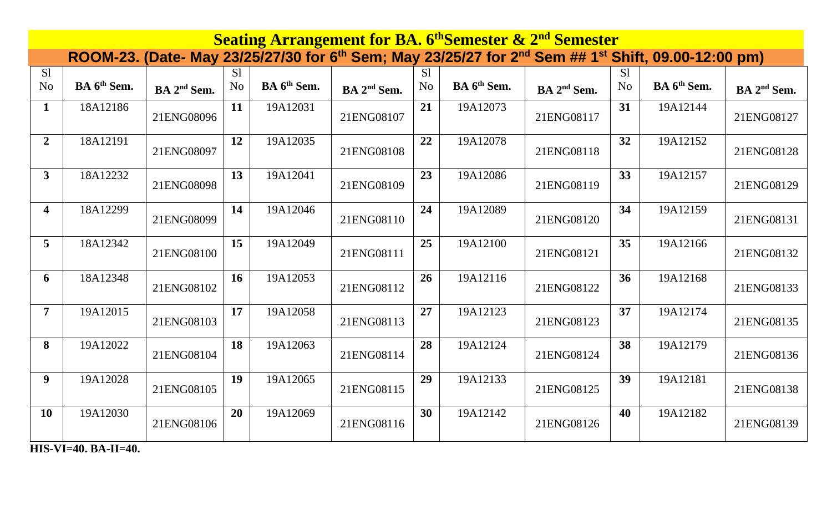| <b>Seating Arrangement for BA. 6th Semester &amp; 2nd Semester</b> |                         |                         |                |                         |                         |                |                         |                                                                                                                                         |                |                         |                         |  |  |
|--------------------------------------------------------------------|-------------------------|-------------------------|----------------|-------------------------|-------------------------|----------------|-------------------------|-----------------------------------------------------------------------------------------------------------------------------------------|----------------|-------------------------|-------------------------|--|--|
|                                                                    |                         |                         |                |                         |                         |                |                         | ROOM-23. (Date- May 23/25/27/30 for 6 <sup>th</sup> Sem; May 23/25/27 for 2 <sup>nd</sup> Sem ## 1 <sup>st</sup> Shift, 09.00-12:00 pm) |                |                         |                         |  |  |
| S1                                                                 |                         |                         | S <sub>1</sub> |                         |                         | S1             |                         |                                                                                                                                         | S <sub>1</sub> |                         |                         |  |  |
| N <sub>o</sub>                                                     | BA 6 <sup>th</sup> Sem. | BA 2 <sup>nd</sup> Sem. | N <sub>o</sub> | BA 6 <sup>th</sup> Sem. | BA 2 <sup>nd</sup> Sem. | N <sub>o</sub> | BA 6 <sup>th</sup> Sem. | BA 2 <sup>nd</sup> Sem.                                                                                                                 | N <sub>o</sub> | BA 6 <sup>th</sup> Sem. | BA 2 <sup>nd</sup> Sem. |  |  |
| $\mathbf{1}$                                                       | 18A12186                | 21ENG08096              | 11             | 19A12031                | 21ENG08107              | 21             | 19A12073                | 21ENG08117                                                                                                                              | 31             | 19A12144                | 21ENG08127              |  |  |
| $\boldsymbol{2}$                                                   | 18A12191                | 21ENG08097              | 12             | 19A12035                | 21ENG08108              | 22             | 19A12078                | 21ENG08118                                                                                                                              | 32             | 19A12152                | 21ENG08128              |  |  |
| $\mathbf{3}$                                                       | 18A12232                | 21ENG08098              | 13             | 19A12041                | 21ENG08109              | 23             | 19A12086                | 21ENG08119                                                                                                                              | 33             | 19A12157                | 21ENG08129              |  |  |
| $\overline{\mathbf{4}}$                                            | 18A12299                | 21ENG08099              | 14             | 19A12046                | 21ENG08110              | 24             | 19A12089                | 21ENG08120                                                                                                                              | 34             | 19A12159                | 21ENG08131              |  |  |
| $5\overline{)}$                                                    | 18A12342                | 21ENG08100              | 15             | 19A12049                | 21ENG08111              | 25             | 19A12100                | 21ENG08121                                                                                                                              | 35             | 19A12166                | 21ENG08132              |  |  |
| 6                                                                  | 18A12348                | 21ENG08102              | 16             | 19A12053                | 21ENG08112              | 26             | 19A12116                | 21ENG08122                                                                                                                              | 36             | 19A12168                | 21ENG08133              |  |  |
| $\overline{7}$                                                     | 19A12015                | 21ENG08103              | 17             | 19A12058                | 21ENG08113              | 27             | 19A12123                | 21ENG08123                                                                                                                              | 37             | 19A12174                | 21ENG08135              |  |  |
| 8                                                                  | 19A12022                | 21ENG08104              | 18             | 19A12063                | 21ENG08114              | 28             | 19A12124                | 21ENG08124                                                                                                                              | 38             | 19A12179                | 21ENG08136              |  |  |
| 9                                                                  | 19A12028                | 21ENG08105              | 19             | 19A12065                | 21ENG08115              | 29             | 19A12133                | 21ENG08125                                                                                                                              | 39             | 19A12181                | 21ENG08138              |  |  |
| <b>10</b>                                                          | 19A12030                | 21ENG08106              | 20             | 19A12069                | 21ENG08116              | 30             | 19A12142                | 21ENG08126                                                                                                                              | 40             | 19A12182                | 21ENG08139              |  |  |

**HIS-VI=40. BA-II=40.**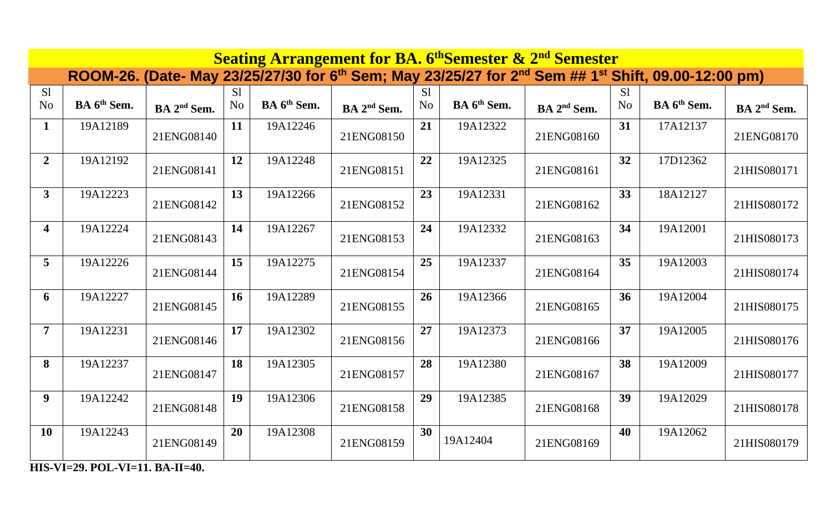| <b>Seating Arrangement for BA. 6th Semester &amp; 2nd Semester</b> |                                                   |                         |                |                         |                         |                |                         |                                                                                                                                         |                |                         |                         |  |  |
|--------------------------------------------------------------------|---------------------------------------------------|-------------------------|----------------|-------------------------|-------------------------|----------------|-------------------------|-----------------------------------------------------------------------------------------------------------------------------------------|----------------|-------------------------|-------------------------|--|--|
|                                                                    |                                                   |                         |                |                         |                         |                |                         | ROOM-26. (Date- May 23/25/27/30 for 6 <sup>th</sup> Sem; May 23/25/27 for 2 <sup>nd</sup> Sem ## 1 <sup>st</sup> Shift, 09.00-12:00 pm) |                |                         |                         |  |  |
| S1                                                                 |                                                   |                         | S <sub>1</sub> |                         |                         | S <sub>1</sub> |                         |                                                                                                                                         | S <sub>1</sub> |                         |                         |  |  |
| N <sub>o</sub>                                                     | BA 6 <sup>th</sup> Sem.                           | BA 2 <sup>nd</sup> Sem. | N <sub>o</sub> | BA 6 <sup>th</sup> Sem. | BA 2 <sup>nd</sup> Sem. | N <sub>o</sub> | BA 6 <sup>th</sup> Sem. | BA 2 <sup>nd</sup> Sem.                                                                                                                 | N <sub>o</sub> | BA 6 <sup>th</sup> Sem. | BA 2 <sup>nd</sup> Sem. |  |  |
| $\mathbf{1}$                                                       | 19A12189                                          | 21ENG08140              | 11             | 19A12246                | 21ENG08150              | 21             | 19A12322                | 21ENG08160                                                                                                                              | 31             | 17A12137                | 21ENG08170              |  |  |
| $\overline{2}$                                                     | 19A12192                                          | 21ENG08141              | 12             | 19A12248                | 21ENG08151              | 22             | 19A12325                | 21ENG08161                                                                                                                              | 32             | 17D12362                | 21HIS080171             |  |  |
| $\mathbf{3}$                                                       | 19A12223                                          | 21ENG08142              | 13             | 19A12266                | 21ENG08152              | 23             | 19A12331                | 21ENG08162                                                                                                                              | 33             | 18A12127                | 21HIS080172             |  |  |
| $\overline{\mathbf{4}}$                                            | 19A12224                                          | 21ENG08143              | 14             | 19A12267                | 21ENG08153              | 24             | 19A12332                | 21ENG08163                                                                                                                              | 34             | 19A12001                | 21HIS080173             |  |  |
| 5                                                                  | 19A12226                                          | 21ENG08144              | 15             | 19A12275                | 21ENG08154              | 25             | 19A12337                | 21ENG08164                                                                                                                              | 35             | 19A12003                | 21HIS080174             |  |  |
| 6                                                                  | 19A12227                                          | 21ENG08145              | 16             | 19A12289                | 21ENG08155              | 26             | 19A12366                | 21ENG08165                                                                                                                              | 36             | 19A12004                | 21HIS080175             |  |  |
| $\overline{7}$                                                     | 19A12231                                          | 21ENG08146              | 17             | 19A12302                | 21ENG08156              | 27             | 19A12373                | 21ENG08166                                                                                                                              | 37             | 19A12005                | 21HIS080176             |  |  |
| 8                                                                  | 19A12237                                          | 21ENG08147              | 18             | 19A12305                | 21ENG08157              | 28             | 19A12380                | 21ENG08167                                                                                                                              | 38             | 19A12009                | 21HIS080177             |  |  |
| $\boldsymbol{9}$                                                   | 19A12242                                          | 21ENG08148              | 19             | 19A12306                | 21ENG08158              | 29             | 19A12385                | 21ENG08168                                                                                                                              | 39             | 19A12029                | 21HIS080178             |  |  |
| <b>10</b>                                                          | 19A12243<br><b>THE VIT AG BOT VIT 44 BA IT 40</b> | 21ENG08149              | 20             | 19A12308                | 21ENG08159              | 30             | 19A12404                | 21ENG08169                                                                                                                              | 40             | 19A12062                | 21HIS080179             |  |  |

**HIS-VI=29. POL-VI=11. BA-II=40.**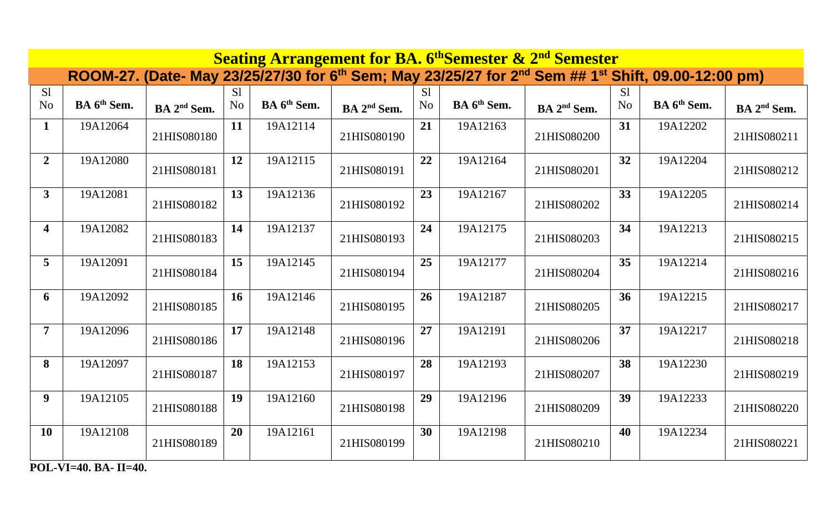| <b>Seating Arrangement for BA. 6th Semester &amp; 2nd Semester</b> |                         |                         |                                  |                         |                         |                      |                                                                                                                                         |                         |                      |                         |                         |  |  |
|--------------------------------------------------------------------|-------------------------|-------------------------|----------------------------------|-------------------------|-------------------------|----------------------|-----------------------------------------------------------------------------------------------------------------------------------------|-------------------------|----------------------|-------------------------|-------------------------|--|--|
|                                                                    |                         |                         |                                  |                         |                         |                      | ROOM-27. (Date- May 23/25/27/30 for 6 <sup>th</sup> Sem; May 23/25/27 for 2 <sup>nd</sup> Sem ## 1 <sup>st</sup> Shift, 09.00-12:00 pm) |                         |                      |                         |                         |  |  |
| S <sub>1</sub><br>N <sub>o</sub>                                   | BA 6 <sup>th</sup> Sem. | BA 2 <sup>nd</sup> Sem. | S <sub>1</sub><br>N <sub>o</sub> | BA 6 <sup>th</sup> Sem. | BA 2 <sup>nd</sup> Sem. | S1<br>N <sub>o</sub> | BA 6 <sup>th</sup> Sem.                                                                                                                 | BA 2 <sup>nd</sup> Sem. | S1<br>N <sub>o</sub> | BA 6 <sup>th</sup> Sem. | BA 2 <sup>nd</sup> Sem. |  |  |
| $\mathbf{1}$                                                       | 19A12064                | 21HIS080180             | 11                               | 19A12114                | 21HIS080190             | 21                   | 19A12163                                                                                                                                | 21HIS080200             | 31                   | 19A12202                | 21HIS080211             |  |  |
| $\overline{2}$                                                     | 19A12080                | 21HIS080181             | 12                               | 19A12115                | 21HIS080191             | 22                   | 19A12164                                                                                                                                | 21HIS080201             | 32                   | 19A12204                | 21HIS080212             |  |  |
| $\overline{3}$                                                     | 19A12081                | 21HIS080182             | 13                               | 19A12136                | 21HIS080192             | 23                   | 19A12167                                                                                                                                | 21HIS080202             | 33                   | 19A12205                | 21HIS080214             |  |  |
| $\overline{\mathbf{4}}$                                            | 19A12082                | 21HIS080183             | 14                               | 19A12137                | 21HIS080193             | 24                   | 19A12175                                                                                                                                | 21HIS080203             | 34                   | 19A12213                | 21HIS080215             |  |  |
| 5                                                                  | 19A12091                | 21HIS080184             | 15                               | 19A12145                | 21HIS080194             | 25                   | 19A12177                                                                                                                                | 21HIS080204             | 35                   | 19A12214                | 21HIS080216             |  |  |
| 6                                                                  | 19A12092                | 21HIS080185             | 16                               | 19A12146                | 21HIS080195             | 26                   | 19A12187                                                                                                                                | 21HIS080205             | 36                   | 19A12215                | 21HIS080217             |  |  |
| $\overline{7}$                                                     | 19A12096                | 21HIS080186             | 17                               | 19A12148                | 21HIS080196             | 27                   | 19A12191                                                                                                                                | 21HIS080206             | 37                   | 19A12217                | 21HIS080218             |  |  |
| 8                                                                  | 19A12097                | 21HIS080187             | 18                               | 19A12153                | 21HIS080197             | 28                   | 19A12193                                                                                                                                | 21HIS080207             | 38                   | 19A12230                | 21HIS080219             |  |  |
| $\boldsymbol{9}$                                                   | 19A12105                | 21HIS080188             | 19                               | 19A12160                | 21HIS080198             | 29                   | 19A12196                                                                                                                                | 21HIS080209             | 39                   | 19A12233                | 21HIS080220             |  |  |
| <b>10</b>                                                          | 19A12108                | 21HIS080189             | 20                               | 19A12161                | 21HIS080199             | 30                   | 19A12198                                                                                                                                | 21HIS080210             | 40                   | 19A12234                | 21HIS080221             |  |  |

**POL-VI=40. BA- II=40.**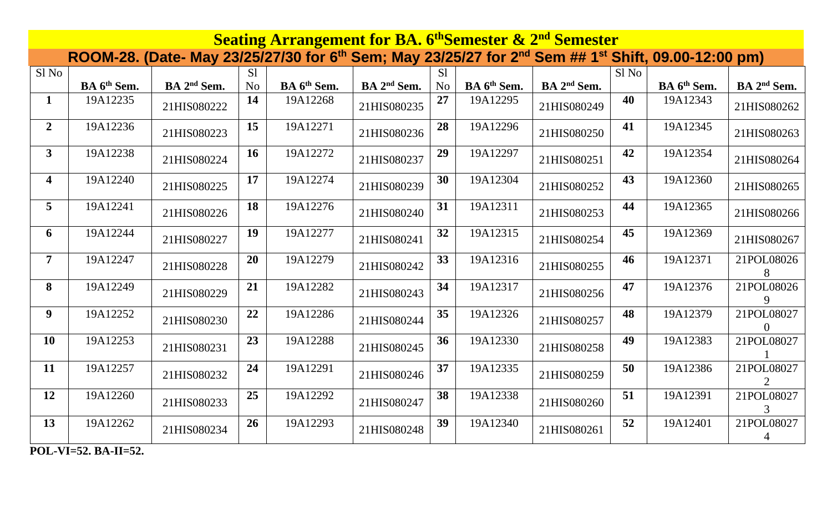| <b>Seating Arrangement for BA. 6th Semester &amp; 2nd Semester</b> |                         |                                                                                                                                         |                |                         |                         |                |                         |                         |       |                         |                         |  |
|--------------------------------------------------------------------|-------------------------|-----------------------------------------------------------------------------------------------------------------------------------------|----------------|-------------------------|-------------------------|----------------|-------------------------|-------------------------|-------|-------------------------|-------------------------|--|
|                                                                    |                         | ROOM-28. (Date- May 23/25/27/30 for 6 <sup>th</sup> Sem; May 23/25/27 for 2 <sup>nd</sup> Sem ## 1 <sup>st</sup> Shift, 09.00-12:00 pm) |                |                         |                         |                |                         |                         |       |                         |                         |  |
| Sl No                                                              |                         |                                                                                                                                         | S1             |                         |                         | S1             |                         |                         | Sl No |                         |                         |  |
|                                                                    | BA 6 <sup>th</sup> Sem. | BA 2 <sup>nd</sup> Sem.                                                                                                                 | N <sub>o</sub> | BA 6 <sup>th</sup> Sem. | BA 2 <sup>nd</sup> Sem. | N <sub>o</sub> | BA 6 <sup>th</sup> Sem. | BA 2 <sup>nd</sup> Sem. |       | BA 6 <sup>th</sup> Sem. | BA 2 <sup>nd</sup> Sem. |  |
| $\mathbf{1}$                                                       | 19A12235                | 21HIS080222                                                                                                                             | 14             | 19A12268                | 21HIS080235             | 27             | 19A12295                | 21HIS080249             | 40    | 19A12343                | 21HIS080262             |  |
| $\overline{2}$                                                     | 19A12236                | 21HIS080223                                                                                                                             | 15             | 19A12271                | 21HIS080236             | 28             | 19A12296                | 21HIS080250             | 41    | 19A12345                | 21HIS080263             |  |
| 3 <sup>1</sup>                                                     | 19A12238                | 21HIS080224                                                                                                                             | 16             | 19A12272                | 21HIS080237             | 29             | 19A12297                | 21HIS080251             | 42    | 19A12354                | 21HIS080264             |  |
| $\overline{\mathbf{4}}$                                            | 19A12240                | 21HIS080225                                                                                                                             | 17             | 19A12274                | 21HIS080239             | 30             | 19A12304                | 21HIS080252             | 43    | 19A12360                | 21HIS080265             |  |
| 5 <sup>5</sup>                                                     | 19A12241                | 21HIS080226                                                                                                                             | 18             | 19A12276                | 21HIS080240             | 31             | 19A12311                | 21HIS080253             | 44    | 19A12365                | 21HIS080266             |  |
| 6                                                                  | 19A12244                | 21HIS080227                                                                                                                             | 19             | 19A12277                | 21HIS080241             | 32             | 19A12315                | 21HIS080254             | 45    | 19A12369                | 21HIS080267             |  |
| $\overline{7}$                                                     | 19A12247                | 21HIS080228                                                                                                                             | 20             | 19A12279                | 21HIS080242             | 33             | 19A12316                | 21HIS080255             | 46    | 19A12371                | 21POL08026<br>8         |  |
| 8                                                                  | 19A12249                | 21HIS080229                                                                                                                             | 21             | 19A12282                | 21HIS080243             | 34             | 19A12317                | 21HIS080256             | 47    | 19A12376                | 21POL08026<br>9         |  |
| $\boldsymbol{9}$                                                   | 19A12252                | 21HIS080230                                                                                                                             | 22             | 19A12286                | 21HIS080244             | 35             | 19A12326                | 21HIS080257             | 48    | 19A12379                | 21POL08027              |  |
| 10                                                                 | 19A12253                | 21HIS080231                                                                                                                             | 23             | 19A12288                | 21HIS080245             | 36             | 19A12330                | 21HIS080258             | 49    | 19A12383                | 21POL08027              |  |
| 11                                                                 | 19A12257                | 21HIS080232                                                                                                                             | 24             | 19A12291                | 21HIS080246             | 37             | 19A12335                | 21HIS080259             | 50    | 19A12386                | 21POL08027              |  |
| 12                                                                 | 19A12260                | 21HIS080233                                                                                                                             | 25             | 19A12292                | 21HIS080247             | 38             | 19A12338                | 21HIS080260             | 51    | 19A12391                | 21POL08027              |  |
| 13                                                                 | 19A12262                | 21HIS080234                                                                                                                             | 26             | 19A12293                | 21HIS080248             | 39             | 19A12340                | 21HIS080261             | 52    | 19A12401                | 21POL08027              |  |

**POL-VI=52. BA-II=52.**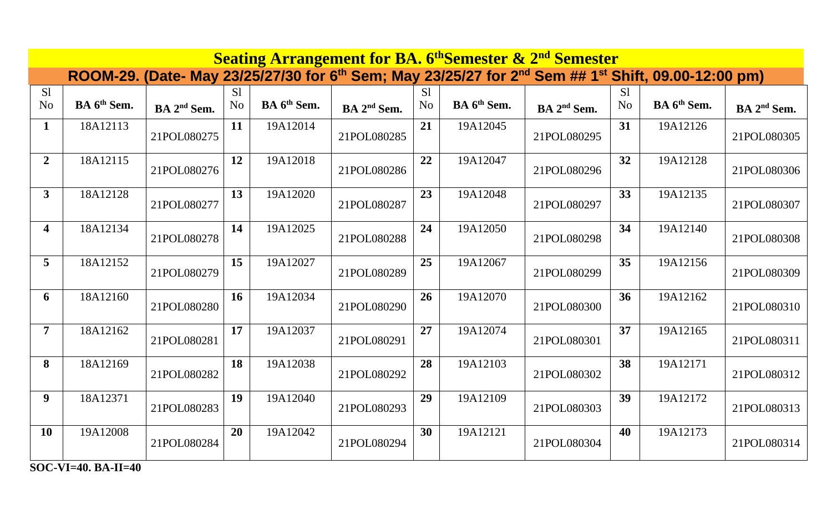| <b>Seating Arrangement for BA. 6th Semester &amp; 2nd Semester</b> |                         |                         |                |                         |                         |                |                         |                                                                                                                                         |                |                         |                         |  |  |
|--------------------------------------------------------------------|-------------------------|-------------------------|----------------|-------------------------|-------------------------|----------------|-------------------------|-----------------------------------------------------------------------------------------------------------------------------------------|----------------|-------------------------|-------------------------|--|--|
|                                                                    |                         |                         |                |                         |                         |                |                         | ROOM-29. (Date- May 23/25/27/30 for 6 <sup>th</sup> Sem; May 23/25/27 for 2 <sup>nd</sup> Sem ## 1 <sup>st</sup> Shift, 09.00-12:00 pm) |                |                         |                         |  |  |
| S1                                                                 | BA 6 <sup>th</sup> Sem. |                         | S <sub>1</sub> | BA 6 <sup>th</sup> Sem. |                         | S <sub>1</sub> | BA 6 <sup>th</sup> Sem. |                                                                                                                                         | S <sub>1</sub> | BA 6 <sup>th</sup> Sem. |                         |  |  |
| N <sub>o</sub>                                                     |                         | BA 2 <sup>nd</sup> Sem. | N <sub>o</sub> |                         | BA 2 <sup>nd</sup> Sem. | N <sub>o</sub> |                         | BA 2 <sup>nd</sup> Sem.                                                                                                                 | N <sub>o</sub> |                         | BA 2 <sup>nd</sup> Sem. |  |  |
| $\mathbf{1}$                                                       | 18A12113                | 21POL080275             | 11             | 19A12014                | 21POL080285             | 21             | 19A12045                | 21POL080295                                                                                                                             | 31             | 19A12126                | 21POL080305             |  |  |
| $\boldsymbol{2}$                                                   | 18A12115                | 21POL080276             | 12             | 19A12018                | 21POL080286             | 22             | 19A12047                | 21POL080296                                                                                                                             | 32             | 19A12128                | 21POL080306             |  |  |
| $\mathbf{3}$                                                       | 18A12128                | 21POL080277             | 13             | 19A12020                | 21POL080287             | 23             | 19A12048                | 21POL080297                                                                                                                             | 33             | 19A12135                | 21POL080307             |  |  |
| $\overline{\mathbf{4}}$                                            | 18A12134                | 21POL080278             | 14             | 19A12025                | 21POL080288             | 24             | 19A12050                | 21POL080298                                                                                                                             | 34             | 19A12140                | 21POL080308             |  |  |
| $5^{\circ}$                                                        | 18A12152                | 21POL080279             | 15             | 19A12027                | 21POL080289             | 25             | 19A12067                | 21POL080299                                                                                                                             | 35             | 19A12156                | 21POL080309             |  |  |
| 6                                                                  | 18A12160                | 21POL080280             | 16             | 19A12034                | 21POL080290             | 26             | 19A12070                | 21POL080300                                                                                                                             | 36             | 19A12162                | 21POL080310             |  |  |
| $\overline{7}$                                                     | 18A12162                | 21POL080281             | 17             | 19A12037                | 21POL080291             | 27             | 19A12074                | 21POL080301                                                                                                                             | 37             | 19A12165                | 21POL080311             |  |  |
| 8                                                                  | 18A12169                | 21POL080282             | 18             | 19A12038                | 21POL080292             | 28             | 19A12103                | 21POL080302                                                                                                                             | 38             | 19A12171                | 21POL080312             |  |  |
| $\boldsymbol{9}$                                                   | 18A12371                | 21POL080283             | 19             | 19A12040                | 21POL080293             | 29             | 19A12109                | 21POL080303                                                                                                                             | 39             | 19A12172                | 21POL080313             |  |  |
| 10                                                                 | 19A12008                | 21POL080284             | 20             | 19A12042                | 21POL080294             | 30             | 19A12121                | 21POL080304                                                                                                                             | 40             | 19A12173                | 21POL080314             |  |  |

**SOC-VI=40. BA-II=40**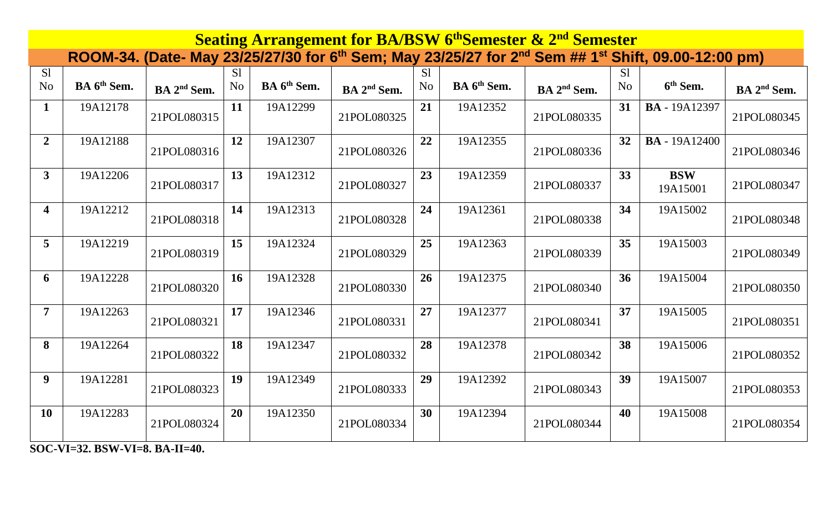| <b>Seating Arrangement for BA/BSW 6th Semester &amp; 2nd Semester</b> |                         |                         |                                  |                         |                         |                      |                         |                         |                                  |                                                                                                                                         |                         |  |  |
|-----------------------------------------------------------------------|-------------------------|-------------------------|----------------------------------|-------------------------|-------------------------|----------------------|-------------------------|-------------------------|----------------------------------|-----------------------------------------------------------------------------------------------------------------------------------------|-------------------------|--|--|
|                                                                       |                         |                         |                                  |                         |                         |                      |                         |                         |                                  | ROOM-34. (Date- May 23/25/27/30 for 6 <sup>th</sup> Sem; May 23/25/27 for 2 <sup>nd</sup> Sem ## 1 <sup>st</sup> Shift, 09.00-12:00 pm) |                         |  |  |
| S <sub>1</sub><br>N <sub>o</sub>                                      | BA 6 <sup>th</sup> Sem. | BA 2 <sup>nd</sup> Sem. | S <sub>1</sub><br>N <sub>o</sub> | BA 6 <sup>th</sup> Sem. | BA 2 <sup>nd</sup> Sem. | S1<br>N <sub>o</sub> | BA 6 <sup>th</sup> Sem. | BA 2 <sup>nd</sup> Sem. | S <sub>1</sub><br>N <sub>o</sub> | 6 <sup>th</sup> Sem.                                                                                                                    | BA 2 <sup>nd</sup> Sem. |  |  |
| $\mathbf{1}$                                                          | 19A12178                | 21POL080315             | 11                               | 19A12299                | 21POL080325             | 21                   | 19A12352                | 21POL080335             | 31                               | <b>BA</b> - 19A12397                                                                                                                    | 21POL080345             |  |  |
| $\overline{2}$                                                        | 19A12188                | 21POL080316             | 12                               | 19A12307                | 21POL080326             | 22                   | 19A12355                | 21POL080336             | 32                               | <b>BA</b> - 19A12400                                                                                                                    | 21POL080346             |  |  |
| $\mathbf{3}$                                                          | 19A12206                | 21POL080317             | 13                               | 19A12312                | 21POL080327             | 23                   | 19A12359                | 21POL080337             | 33                               | <b>BSW</b><br>19A15001                                                                                                                  | 21POL080347             |  |  |
| $\overline{\mathbf{4}}$                                               | 19A12212                | 21POL080318             | 14                               | 19A12313                | 21POL080328             | 24                   | 19A12361                | 21POL080338             | 34                               | 19A15002                                                                                                                                | 21POL080348             |  |  |
| $\overline{5}$                                                        | 19A12219                | 21POL080319             | 15                               | 19A12324                | 21POL080329             | 25                   | 19A12363                | 21POL080339             | 35                               | 19A15003                                                                                                                                | 21POL080349             |  |  |
| 6                                                                     | 19A12228                | 21POL080320             | 16                               | 19A12328                | 21POL080330             | 26                   | 19A12375                | 21POL080340             | 36                               | 19A15004                                                                                                                                | 21POL080350             |  |  |
| $\overline{7}$                                                        | 19A12263                | 21POL080321             | 17                               | 19A12346                | 21POL080331             | 27                   | 19A12377                | 21POL080341             | 37                               | 19A15005                                                                                                                                | 21POL080351             |  |  |
| 8                                                                     | 19A12264                | 21POL080322             | 18                               | 19A12347                | 21POL080332             | 28                   | 19A12378                | 21POL080342             | 38                               | 19A15006                                                                                                                                | 21POL080352             |  |  |
| $\boldsymbol{9}$                                                      | 19A12281                | 21POL080323             | 19                               | 19A12349                | 21POL080333             | 29                   | 19A12392                | 21POL080343             | 39                               | 19A15007                                                                                                                                | 21POL080353             |  |  |
| <b>10</b>                                                             | 19A12283                | 21POL080324             | 20                               | 19A12350                | 21POL080334             | 30                   | 19A12394                | 21POL080344             | 40                               | 19A15008                                                                                                                                | 21POL080354             |  |  |

**SOC-VI=32. BSW-VI=8. BA-II=40.**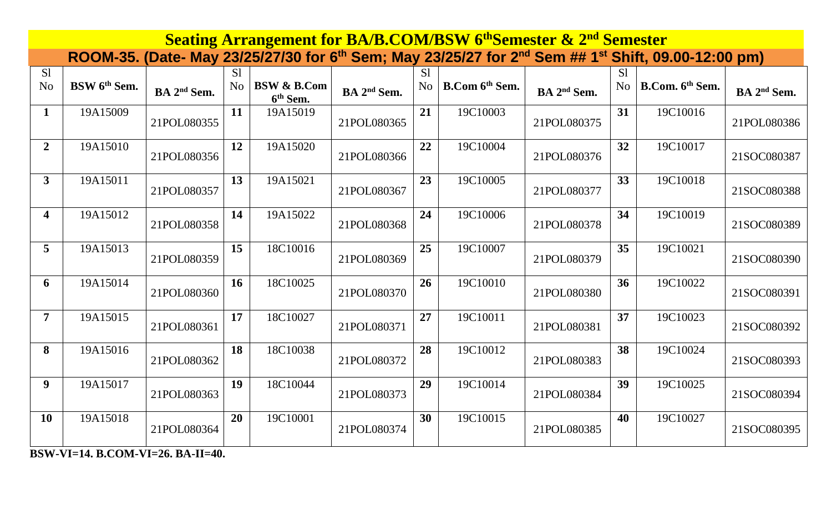| <b>Seating Arrangement for BA/B.COM/BSW 6th Semester &amp; 2nd Semester</b> |                          |                         |                                  |                                                |                         |                      |                            |                         |                                  |                                                                                                                                         |                         |  |  |
|-----------------------------------------------------------------------------|--------------------------|-------------------------|----------------------------------|------------------------------------------------|-------------------------|----------------------|----------------------------|-------------------------|----------------------------------|-----------------------------------------------------------------------------------------------------------------------------------------|-------------------------|--|--|
|                                                                             |                          |                         |                                  |                                                |                         |                      |                            |                         |                                  | ROOM-35. (Date- May 23/25/27/30 for 6 <sup>th</sup> Sem; May 23/25/27 for 2 <sup>nd</sup> Sem ## 1 <sup>st</sup> Shift, 09.00-12:00 pm) |                         |  |  |
| S1<br>N <sub>o</sub>                                                        | BSW 6 <sup>th</sup> Sem. | BA 2 <sup>nd</sup> Sem. | S <sub>1</sub><br>N <sub>o</sub> | <b>BSW &amp; B.Com</b><br>6 <sup>th</sup> Sem. | BA 2 <sup>nd</sup> Sem. | S1<br>N <sub>o</sub> | B.Com 6 <sup>th</sup> Sem. | BA 2 <sup>nd</sup> Sem. | S <sub>1</sub><br>N <sub>o</sub> | B.Com. 6th Sem.                                                                                                                         | BA 2 <sup>nd</sup> Sem. |  |  |
| 1                                                                           | 19A15009                 | 21POL080355             | 11                               | 19A15019                                       | 21POL080365             | 21                   | 19C10003                   | 21POL080375             | 31                               | 19C10016                                                                                                                                | 21POL080386             |  |  |
| $\overline{2}$                                                              | 19A15010                 | 21POL080356             | 12                               | 19A15020                                       | 21POL080366             | 22                   | 19C10004                   | 21POL080376             | 32                               | 19C10017                                                                                                                                | 21SOC080387             |  |  |
| $\overline{\mathbf{3}}$                                                     | 19A15011                 | 21POL080357             | 13                               | 19A15021                                       | 21POL080367             | 23                   | 19C10005                   | 21POL080377             | 33                               | 19C10018                                                                                                                                | 21SOC080388             |  |  |
| $\overline{\mathbf{4}}$                                                     | 19A15012                 | 21POL080358             | 14                               | 19A15022                                       | 21POL080368             | 24                   | 19C10006                   | 21POL080378             | 34                               | 19C10019                                                                                                                                | 21SOC080389             |  |  |
| 5                                                                           | 19A15013                 | 21POL080359             | 15                               | 18C10016                                       | 21POL080369             | 25                   | 19C10007                   | 21POL080379             | 35                               | 19C10021                                                                                                                                | 21SOC080390             |  |  |
| 6                                                                           | 19A15014                 | 21POL080360             | <b>16</b>                        | 18C10025                                       | 21POL080370             | 26                   | 19C10010                   | 21POL080380             | 36                               | 19C10022                                                                                                                                | 21SOC080391             |  |  |
| $\overline{7}$                                                              | 19A15015                 | 21POL080361             | 17                               | 18C10027                                       | 21POL080371             | 27                   | 19C10011                   | 21POL080381             | 37                               | 19C10023                                                                                                                                | 21SOC080392             |  |  |
| 8                                                                           | 19A15016                 | 21POL080362             | 18                               | 18C10038                                       | 21POL080372             | 28                   | 19C10012                   | 21POL080383             | 38                               | 19C10024                                                                                                                                | 21SOC080393             |  |  |
| 9                                                                           | 19A15017                 | 21POL080363             | 19                               | 18C10044                                       | 21POL080373             | 29                   | 19C10014                   | 21POL080384             | 39                               | 19C10025                                                                                                                                | 21SOC080394             |  |  |
| <b>10</b>                                                                   | 19A15018                 | 21POL080364             | 20                               | 19C10001                                       | 21POL080374             | 30                   | 19C10015                   | 21POL080385             | 40                               | 19C10027                                                                                                                                | 21SOC080395             |  |  |

**BSW-VI=14. B.COM-VI=26. BA-II=40.**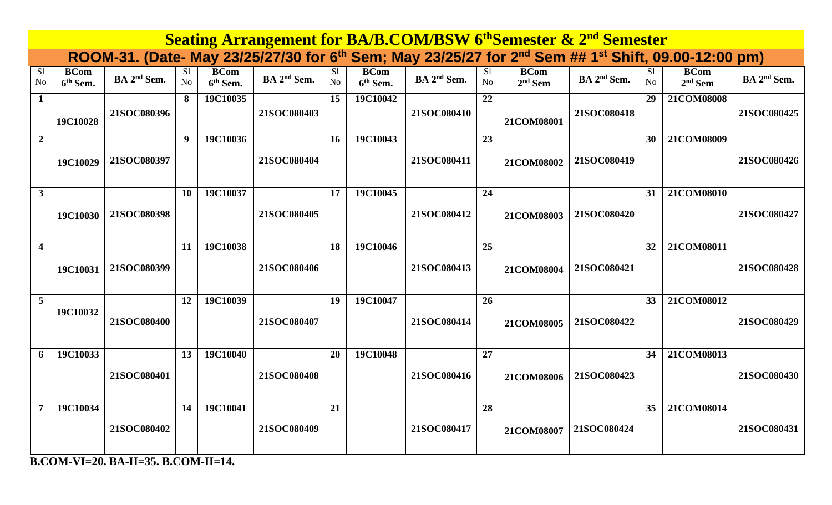|                             | <b>Seating Arrangement for BA/B.COM/BSW 6th Semester &amp; 2nd Semester</b><br>ROOM-31. (Date- May 23/25/27/30 for 6 <sup>th</sup> Sem; May 23/25/27 for 2 <sup>nd</sup> Sem ## 1 <sup>st</sup> Shift, 09.00-12:00 pm) |                         |                      |                                     |                         |           |                                     |                         |          |                          |                         |                                  |                          |                         |
|-----------------------------|------------------------------------------------------------------------------------------------------------------------------------------------------------------------------------------------------------------------|-------------------------|----------------------|-------------------------------------|-------------------------|-----------|-------------------------------------|-------------------------|----------|--------------------------|-------------------------|----------------------------------|--------------------------|-------------------------|
|                             |                                                                                                                                                                                                                        |                         |                      |                                     |                         |           |                                     |                         |          |                          |                         |                                  |                          |                         |
| S <sub>1</sub><br><b>No</b> | <b>BCom</b><br>6 <sup>th</sup> Sem.                                                                                                                                                                                    | BA 2 <sup>nd</sup> Sem. | S1<br>N <sub>o</sub> | <b>BCom</b><br>6 <sup>th</sup> Sem. | BA 2 <sup>nd</sup> Sem. | S1<br>No. | <b>BCom</b><br>6 <sup>th</sup> Sem. | BA 2 <sup>nd</sup> Sem. | S1<br>No | <b>BCom</b><br>$2nd$ Sem | BA 2 <sup>nd</sup> Sem. | S <sub>1</sub><br>N <sub>o</sub> | <b>BCom</b><br>$2nd$ Sem | BA 2 <sup>nd</sup> Sem. |
| $\mathbf{1}$                | 19C10028                                                                                                                                                                                                               | 21SOC080396             | 8                    | 19C10035                            | 21SOC080403             | 15        | 19C10042                            | 21SOC080410             | 22       | 21COM08001               | 21SOC080418             | 29                               | 21COM08008               | 21SOC080425             |
| $\overline{2}$              | 19C10029                                                                                                                                                                                                               | 21SOC080397             | 9                    | 19C10036                            | 21SOC080404             | 16        | 19C10043                            | 21SOC080411             | 23       | 21COM08002               | 21SOC080419             | 30                               | 21COM08009               | 21SOC080426             |
| $\mathbf{3}$                | 19C10030                                                                                                                                                                                                               | 21SOC080398             | 10                   | 19C10037                            | 21SOC080405             | 17        | 19C10045                            | 21SOC080412             | 24       | 21COM08003               | 21SOC080420             | 31                               | 21COM08010               | 21SOC080427             |
| $\overline{4}$              | 19C10031                                                                                                                                                                                                               | 21SOC080399             | 11                   | 19C10038                            | 21SOC080406             | 18        | 19C10046                            | 21SOC080413             | 25       | 21COM08004               | 21SOC080421             | 32                               | 21COM08011               | 21SOC080428             |
| 5                           | 19C10032                                                                                                                                                                                                               | 21SOC080400             | 12                   | 19C10039                            | 21SOC080407             | 19        | 19C10047                            | 21SOC080414             | 26       | 21COM08005               | 21SOC080422             | 33                               | 21COM08012               | 21SOC080429             |
| 6                           | 19C10033                                                                                                                                                                                                               | 21SOC080401             | 13                   | 19C10040                            | 21SOC080408             | 20        | 19C10048                            | 21SOC080416             | 27       | 21COM08006               | 21SOC080423             | 34                               | 21COM08013               | 21SOC080430             |
| $\overline{7}$              | 19C10034                                                                                                                                                                                                               | 21SOC080402             | 14                   | 19C10041                            | 21SOC080409             | 21        |                                     | 21SOC080417             | 28       | 21COM08007               | 21SOC080424             | 35                               | 21COM08014               | 21SOC080431             |

**B.COM-VI=20. BA-II=35. B.COM-II=14.**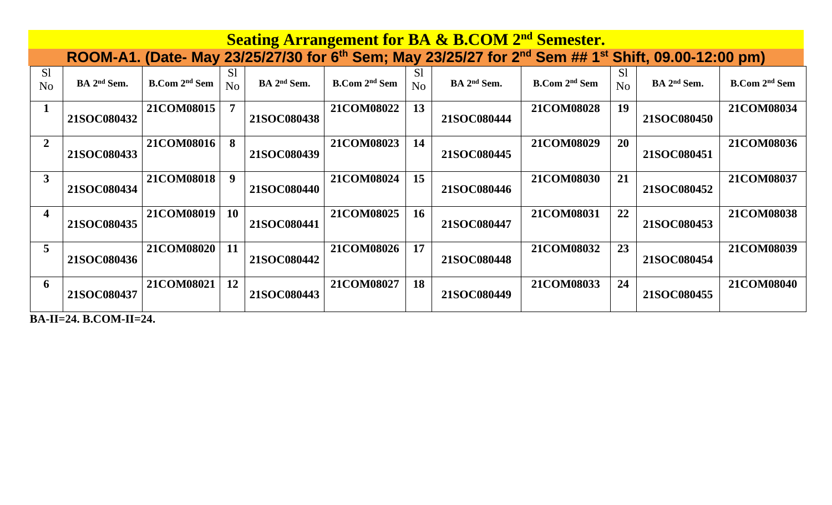|                      | <b>Seating Arrangement for BA &amp; B.COM 2<sup>nd</sup> Semester.</b> |                                 |                |                         |                                 |                      |                                                                                                                                         |                                 |                                  |                         |                                 |  |  |  |
|----------------------|------------------------------------------------------------------------|---------------------------------|----------------|-------------------------|---------------------------------|----------------------|-----------------------------------------------------------------------------------------------------------------------------------------|---------------------------------|----------------------------------|-------------------------|---------------------------------|--|--|--|
|                      |                                                                        |                                 |                |                         |                                 |                      | ROOM-A1. (Date- May 23/25/27/30 for 6 <sup>th</sup> Sem; May 23/25/27 for 2 <sup>nd</sup> Sem ## 1 <sup>st</sup> Shift, 09.00-12:00 pm) |                                 |                                  |                         |                                 |  |  |  |
| S1<br>N <sub>o</sub> | BA 2 <sup>nd</sup> Sem.                                                | <b>B.Com 2<sup>nd</sup> Sem</b> | S1<br>No       | BA 2 <sup>nd</sup> Sem. | <b>B.Com 2<sup>nd</sup> Sem</b> | S <sub>1</sub><br>No | BA 2 <sup>nd</sup> Sem.                                                                                                                 | <b>B.Com 2<sup>nd</sup> Sem</b> | S <sub>1</sub><br>N <sub>0</sub> | BA 2 <sup>nd</sup> Sem. | <b>B.Com 2<sup>nd</sup> Sem</b> |  |  |  |
|                      | 21SOC080432                                                            | 21COM08015                      | $\overline{7}$ | 21SOC080438             | 21COM08022                      | 13                   | 21SOC080444                                                                                                                             | 21COM08028                      | 19                               | 21SOC080450             | 21COM08034                      |  |  |  |
| $\overline{2}$       | 21SOC080433                                                            | 21COM08016                      | 8              | 21SOC080439             | 21COM08023                      | 14                   | 21SOC080445                                                                                                                             | 21COM08029                      | <b>20</b>                        | 21SOC080451             | 21COM08036                      |  |  |  |
| 3                    | 21SOC080434                                                            | 21COM08018                      | 9              | 21SOC080440             | 21COM08024                      | 15                   | 21SOC080446                                                                                                                             | 21COM08030                      | 21                               | 21SOC080452             | 21COM08037                      |  |  |  |
| 4                    | 21SOC080435                                                            | 21COM08019                      | 10             | 21SOC080441             | 21COM08025                      | 16                   | 21SOC080447                                                                                                                             | 21COM08031                      | 22                               | 21SOC080453             | 21COM08038                      |  |  |  |
| 5                    | 21SOC080436                                                            | 21COM08020                      | 11             | 21SOC080442             | 21COM08026                      | 17                   | 21SOC080448                                                                                                                             | 21COM08032                      | 23                               | 21SOC080454             | 21COM08039                      |  |  |  |
| 6                    | 21SOC080437                                                            | 21COM08021                      | 12             | 21SOC080443             | 21COM08027                      | 18                   | 21SOC080449                                                                                                                             | 21COM08033                      | 24                               | 21SOC080455             | 21COM08040                      |  |  |  |

**BA-II=24. B.COM-II=24.**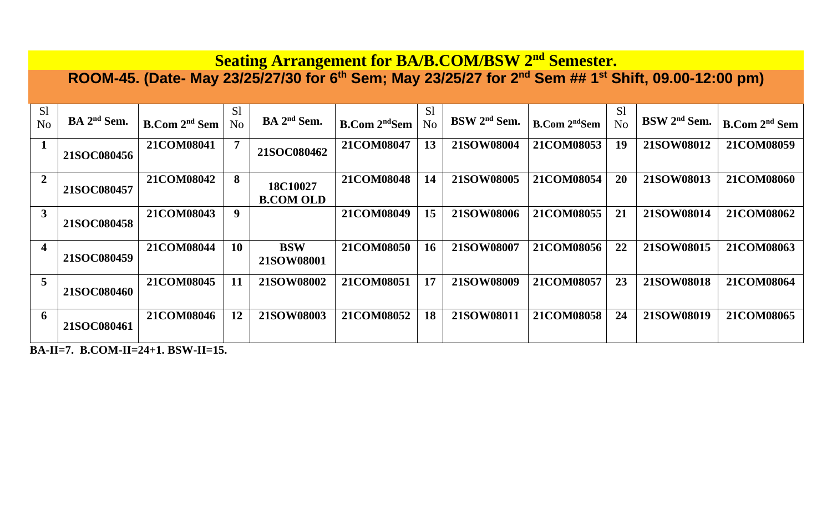## **Seating Arrangement for BA/B.COM/BSW 2 nd Semester.**

**ROOM-45. (Date- May 23/25/27/30 for 6th Sem; May 23/25/27 for 2 nd Sem ## 1 st Shift, 09.00-12:00 pm)**

| S <sub>1</sub><br>N <sub>o</sub> | BA 2 <sup>nd</sup> Sem. | <b>B.Com 2<sup>nd</sup> Sem</b> | S <sub>1</sub><br>No | BA 2 <sup>nd</sup> Sem.      | <b>B.Com 2<sup>nd</sup>Sem</b> | S <sub>1</sub><br>N <sub>o</sub> | BSW 2 <sup>nd</sup> Sem. | <b>B.Com</b> 2 <sup>nd</sup> Sem | S1<br>No | BSW 2 <sup>nd</sup> Sem. | B. Com 2 <sup>nd</sup> Sem |
|----------------------------------|-------------------------|---------------------------------|----------------------|------------------------------|--------------------------------|----------------------------------|--------------------------|----------------------------------|----------|--------------------------|----------------------------|
|                                  | 21SOC080456             | 21COM08041                      | $\overline{7}$       | 21SOC080462                  | 21COM08047                     | 13                               | 21SOW08004               | 21COM08053                       | 19       | 21SOW08012               | 21COM08059                 |
| $\overline{2}$                   | 21SOC080457             | 21COM08042                      | 8                    | 18C10027<br><b>B.COM OLD</b> | 21COM08048                     | 14                               | 21SOW08005               | 21COM08054                       | 20       | 21SOW08013               | 21COM08060                 |
| 3                                | 21SOC080458             | 21COM08043                      | 9                    |                              | 21COM08049                     | 15                               | 21SOW08006               | 21COM08055                       | 21       | 21SOW08014               | 21COM08062                 |
| $\overline{\mathbf{4}}$          | 21SOC080459             | 21COM08044                      | 10                   | <b>BSW</b><br>21SOW08001     | 21COM08050                     | <b>16</b>                        | 21SOW08007               | 21COM08056                       | 22       | 21SOW08015               | 21COM08063                 |
| $5\overline{)}$                  | 21SOC080460             | 21COM08045                      | 11                   | 21SOW08002                   | 21COM08051                     | 17                               | 21SOW08009               | 21COM08057                       | 23       | 21SOW08018               | 21COM08064                 |
| $\mathbf 6$                      | 21SOC080461             | 21COM08046                      | 12                   | 21SOW08003                   | 21COM08052                     | 18                               | 21SOW08011               | 21COM08058                       | 24       | 21SOW08019               | 21COM08065                 |

**BA-II=7. B.COM-II=24+1. BSW-II=15.**